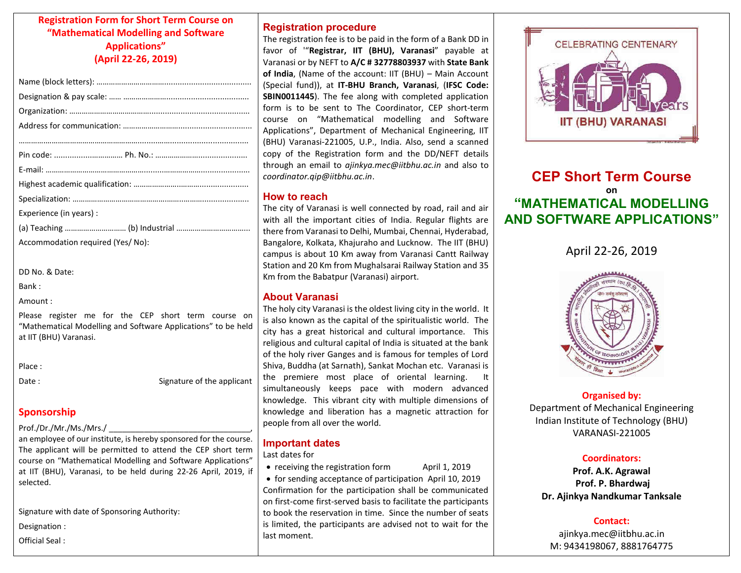### **Registration Form for Short Term Course on "Mathematical Modelling and Software Applications" (April 22-26, 2019)**

| Experience (in years) :          |
|----------------------------------|
|                                  |
| Accommodation required (Yes/No): |

DD No. & Date:

Bank :

Amount :

Please register me for the CEP short term course on "Mathematical Modelling and Software Applications" to be held at IIT (BHU) Varanasi.

Place :

Date : Signature of the applicant

### **Sponsorship**

#### Prof./Dr./Mr./Ms./Mrs./

an employee of our institute, is hereby sponsored for the course. The applicant will be permitted to attend the CEP short term course on "Mathematical Modelling and Software Applications" at IIT (BHU), Varanasi, to be held during 22-26 April, 2019, if selected.

Signature with date of Sponsoring Authority:

Designation :

Official Seal :

## **Registration procedure**

The registration fee is to be paid in the form of a Bank DD in favor of '"**Registrar, IIT (BHU), Varanasi**" payable at Varanasi or by NEFT to **A/C # 32778803937** with **State Bank of India**, (Name of the account: IIT (BHU) – Main Account (Special fund)), at **IT-BHU Branch, Varanasi**, (**IFSC Code: SBIN0011445**). The fee along with completed application form is to be sent to The Coordinator, CEP short-term course on "Mathematical modelling and Software Applications", Department of Mechanical Engineering, IIT (BHU) Varanasi-221005, U.P., India. Also, send a scanned copy of the Registration form and the DD/NEFT details through an email to *ajinkya.mec@iitbhu.ac.in* and also to *coordinator.qip@iitbhu.ac.in*.

### **How to reach**

The city of Varanasi is well connected by road, rail and air with all the important cities of India. Regular flights are there from Varanasi to Delhi, Mumbai, Chennai, Hyderabad, Bangalore, Kolkata, Khajuraho and Lucknow. The IIT (BHU) campus is about 10 Km away from Varanasi Cantt Railway Station and 20 Km from Mughalsarai Railway Station and 35 Km from the Babatpur (Varanasi) airport.

### **About Varanasi**

The holy city Varanasi is the oldest living city in the world. It is also known as the capital of the spiritualistic world. The city has a great historical and cultural importance. This religious and cultural capital of India is situated at the bank of the holy river Ganges and is famous for temples of Lord Shiva, Buddha (at Sarnath), Sankat Mochan etc. Varanasi is the premiere most place of oriental learning. simultaneously keeps pace with modern advanced knowledge. This vibrant city with multiple dimensions of knowledge and liberation has a magnetic attraction for people from all over the world.

### **Important dates**

#### Last dates for

• receiving the registration form April 1, 2019

• for sending acceptance of participation April 10, 2019 Confirmation for the participation shall be communicated on first-come first-served basis to facilitate the participants to book the reservation in time. Since the number of seats is limited, the participants are advised not to wait for the last moment.



# **CEP Short Term Course on "MATHEMATICAL MODELLING AND SOFTWARE APPLICATIONS"**

April 22-26, 2019



**Organised by:**  Department of Mechanical Engineering Indian Institute of Technology (BHU) VARANASI-221005

### **Coordinators:**

**Prof. A.K. Agrawal Prof. P. Bhardwaj Dr. Ajinkya Nandkumar Tanksale** 

#### **Contact:**

ajinkya.mec@iitbhu.ac.in M: 9434198067, 8881764775